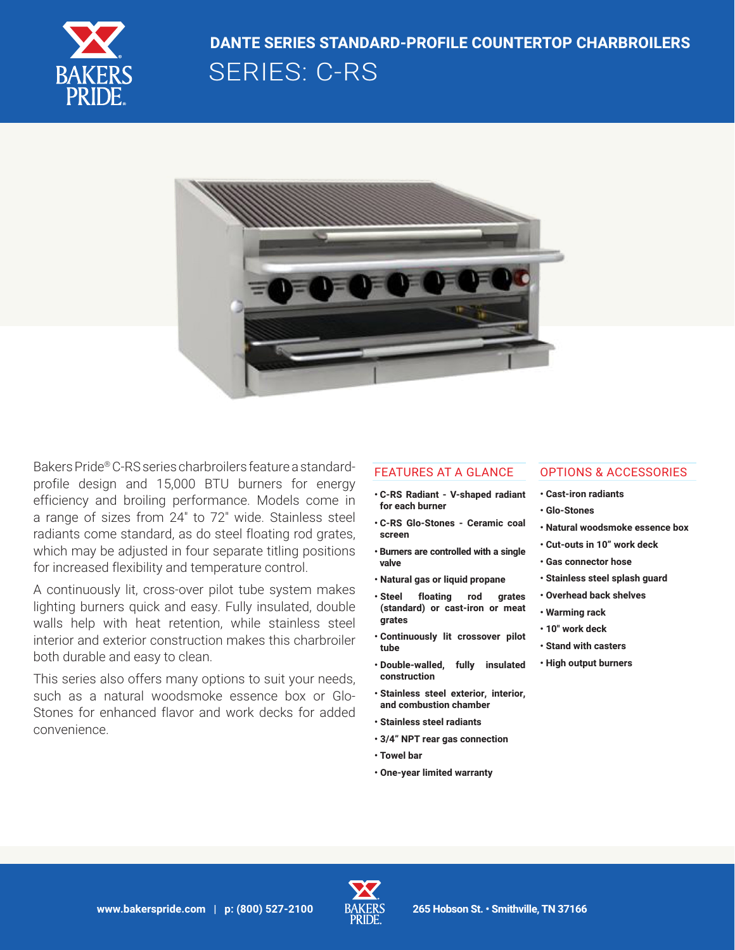

# SERIES: C-RS **DANTE SERIES STANDARD-PROFILE COUNTERTOP CHARBROILERS**



Bakers Pride® C-RS series charbroilers feature a standardprofile design and 15,000 BTU burners for energy efficiency and broiling performance. Models come in a range of sizes from 24" to 72" wide. Stainless steel radiants come standard, as do steel floating rod grates, which may be adjusted in four separate titling positions for increased flexibility and temperature control.

A continuously lit, cross-over pilot tube system makes lighting burners quick and easy. Fully insulated, double walls help with heat retention, while stainless steel interior and exterior construction makes this charbroiler both durable and easy to clean.

This series also offers many options to suit your needs, such as a natural woodsmoke essence box or Glo-Stones for enhanced flavor and work decks for added convenience.

#### FEATURES AT A GLANCE

- **C-RS Radiant V-shaped radiant for each burner**
- **C-RS Glo-Stones Ceramic coal screen**
- **Burners are controlled with a single valve**
- **Natural gas or liquid propane**
- **Steel floating rod grates (standard) or cast-iron or meat grates**
- **Continuously lit crossover pilot tube**
- **Double-walled, fully insulated construction**
- **Stainless steel exterior, interior, and combustion chamber**
- **Stainless steel radiants**
- **3/4" NPT rear gas connection**
- **Towel bar**
- **One-year limited warranty**

# OPTIONS & ACCESSORIES

- **Cast-iron radiants**
- **Glo-Stones**
- **Natural woodsmoke essence box**
- **Cut-outs in 10" work deck**
- **Gas connector hose**
- **Stainless steel splash guard**
- **Overhead back shelves**
- **Warming rack**
- **10" work deck**
- **Stand with casters**
- **High output burners**